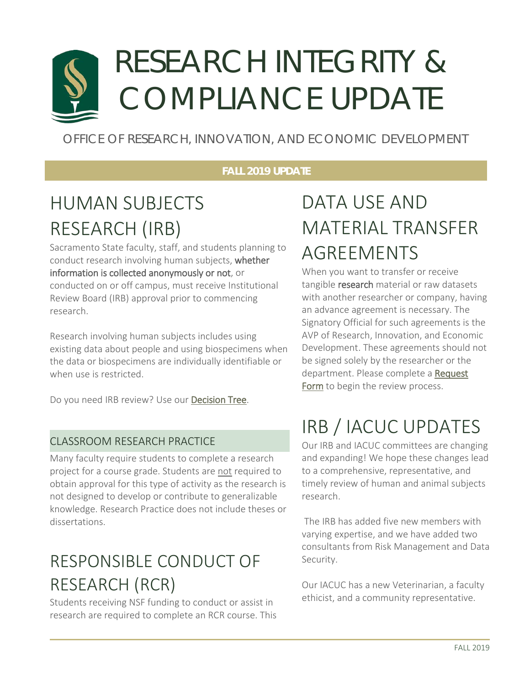# RESEARCH INTEGRITY & COMPLIANCE UPDATE

## OFFICE OF RESEARCH, INNOVATION, AND ECONOMIC DEVELOPMENT

#### **FALL 2019 UPDATE**

## HUMAN SUBJECTS RESEARCH (IRB)

Sacramento State faculty, staff, and students planning to conduct research involving human subjects, whether information is collected anonymously or not, or conducted on or off campus, must receive Institutional Review Board (IRB) approval prior to commencing research.

Research involving human subjects includes using existing data about people and using biospecimens when the data or biospecimens are individually identifiable or when use is restricted.

Do you need IRB review? Use ou[r Decision Tree.](https://csus.co1.qualtrics.com/jfe/form/SV_0PMjAbB1gLJKMaF)

### CLASSROOM RESEARCH PRACTICE

Many faculty require students to complete a research project for a course grade. Students are not required to obtain approval for this type of activity as the research is not designed to develop or contribute to generalizable knowledge. Research Practice does not include theses or dissertations.

## RESPONSIBLE CONDUCT OF RESEARCH (RCR)

Students receiving NSF funding to conduct or assist in research are required to complete an RCR course. This

## DATA USE AND MATERIAL TRANSFER AGREEMENTS

When you want to transfer or receive tangible research material or raw datasets with another researcher or company, having an advance agreement is necessary. The Signatory Official for such agreements is the AVP of Research, Innovation, and Economic Development. These agreements should not be signed solely by the researcher or the department. Please complete a Request [Form](https://csus.co1.qualtrics.com/jfe/form/SV_cBZCp0rWhaivMwJ) to begin the review process.

## IRB / IACUC UPDATES

Our IRB and IACUC committees are changing and expanding! We hope these changes lead to a comprehensive, representative, and timely review of human and animal subjects research.

The IRB has added five new members with varying expertise, and we have added two consultants from Risk Management and Data Security.

Our IACUC has a new Veterinarian, a faculty ethicist, and a community representative.